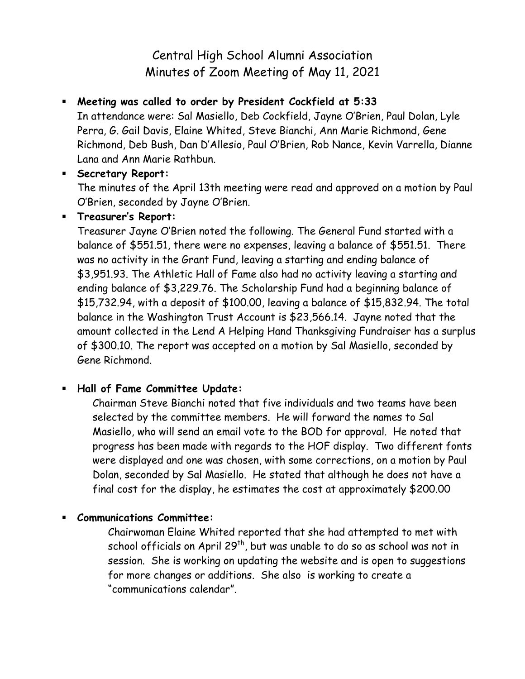# Central High School Alumni Association Minutes of Zoom Meeting of May 11, 2021

# **Meeting was called to order by President Cockfield at 5:33**

In attendance were: Sal Masiello, Deb Cockfield, Jayne O'Brien, Paul Dolan, Lyle Perra, G. Gail Davis, Elaine Whited, Steve Bianchi, Ann Marie Richmond, Gene Richmond, Deb Bush, Dan D'Allesio, Paul O'Brien, Rob Nance, Kevin Varrella, Dianne Lana and Ann Marie Rathbun.

#### **Secretary Report:**

The minutes of the April 13th meeting were read and approved on a motion by Paul O'Brien, seconded by Jayne O'Brien.

#### **Treasurer's Report:**

Treasurer Jayne O'Brien noted the following. The General Fund started with a balance of \$551.51, there were no expenses, leaving a balance of \$551.51. There was no activity in the Grant Fund, leaving a starting and ending balance of \$3,951.93. The Athletic Hall of Fame also had no activity leaving a starting and ending balance of \$3,229.76. The Scholarship Fund had a beginning balance of \$15,732.94, with a deposit of \$100.00, leaving a balance of \$15,832.94. The total balance in the Washington Trust Account is \$23,566.14. Jayne noted that the amount collected in the Lend A Helping Hand Thanksgiving Fundraiser has a surplus of \$300.10. The report was accepted on a motion by Sal Masiello, seconded by Gene Richmond.

## **Hall of Fame Committee Update:**

Chairman Steve Bianchi noted that five individuals and two teams have been selected by the committee members. He will forward the names to Sal Masiello, who will send an email vote to the BOD for approval. He noted that progress has been made with regards to the HOF display. Two different fonts were displayed and one was chosen, with some corrections, on a motion by Paul Dolan, seconded by Sal Masiello. He stated that although he does not have a final cost for the display, he estimates the cost at approximately \$200.00

## **Communications Committee:**

Chairwoman Elaine Whited reported that she had attempted to met with school officials on April 29<sup>th</sup>, but was unable to do so as school was not in session. She is working on updating the website and is open to suggestions for more changes or additions. She also is working to create a "communications calendar".